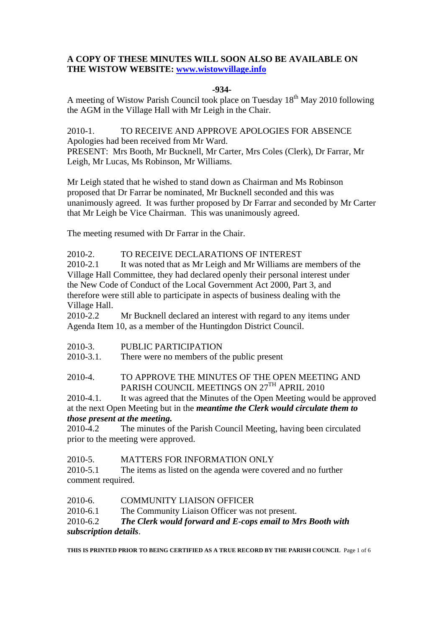# **A COPY OF THESE MINUTES WILL SOON ALSO BE AVAILABLE ON THE WISTOW WEBSITE: www.wistowvillage.info**

#### **-934-**

A meeting of Wistow Parish Council took place on Tuesday 18<sup>th</sup> May 2010 following the AGM in the Village Hall with Mr Leigh in the Chair.

2010-1. TO RECEIVE AND APPROVE APOLOGIES FOR ABSENCE Apologies had been received from Mr Ward. PRESENT: Mrs Booth, Mr Bucknell, Mr Carter, Mrs Coles (Clerk), Dr Farrar, Mr Leigh, Mr Lucas, Ms Robinson, Mr Williams.

Mr Leigh stated that he wished to stand down as Chairman and Ms Robinson proposed that Dr Farrar be nominated, Mr Bucknell seconded and this was unanimously agreed. It was further proposed by Dr Farrar and seconded by Mr Carter that Mr Leigh be Vice Chairman. This was unanimously agreed.

The meeting resumed with Dr Farrar in the Chair.

# 2010-2. TO RECEIVE DECLARATIONS OF INTEREST

2010-2.1 It was noted that as Mr Leigh and Mr Williams are members of the Village Hall Committee, they had declared openly their personal interest under the New Code of Conduct of the Local Government Act 2000, Part 3, and therefore were still able to participate in aspects of business dealing with the Village Hall.

2010-2.2 Mr Bucknell declared an interest with regard to any items under Agenda Item 10, as a member of the Huntingdon District Council.

2010-3. PUBLIC PARTICIPATION

2010-3.1. There were no members of the public present

2010-4. TO APPROVE THE MINUTES OF THE OPEN MEETING AND PARISH COUNCIL MEETINGS ON 27TH APRIL 2010

2010-4.1. It was agreed that the Minutes of the Open Meeting would be approved at the next Open Meeting but in the *meantime the Clerk would circulate them to those present at the meeting.* 

2010-4.2 The minutes of the Parish Council Meeting, having been circulated prior to the meeting were approved.

#### 2010-5. MATTERS FOR INFORMATION ONLY

2010-5.1 The items as listed on the agenda were covered and no further comment required.

2010-6. COMMUNITY LIAISON OFFICER

2010-6.1 The Community Liaison Officer was not present.

## 2010-6.2 *The Clerk would forward and E-cops email to Mrs Booth with subscription details*.

**THIS IS PRINTED PRIOR TO BEING CERTIFIED AS A TRUE RECORD BY THE PARISH COUNCIL** Page 1 of 6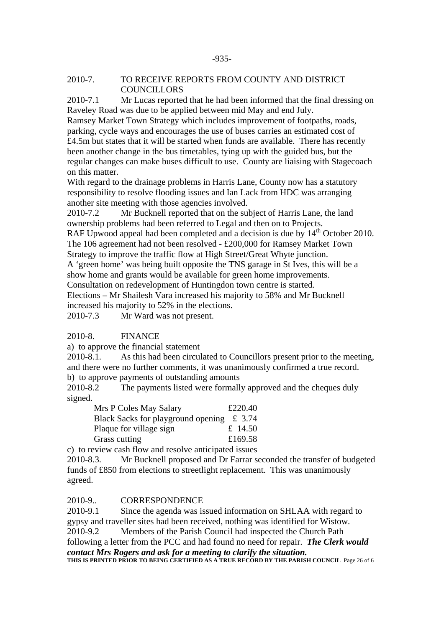#### 2010-7. TO RECEIVE REPORTS FROM COUNTY AND DISTRICT **COUNCILLORS**

2010-7.1 Mr Lucas reported that he had been informed that the final dressing on Raveley Road was due to be applied between mid May and end July.

Ramsey Market Town Strategy which includes improvement of footpaths, roads, parking, cycle ways and encourages the use of buses carries an estimated cost of £4.5m but states that it will be started when funds are available. There has recently been another change in the bus timetables, tying up with the guided bus, but the regular changes can make buses difficult to use. County are liaising with Stagecoach on this matter.

With regard to the drainage problems in Harris Lane, County now has a statutory responsibility to resolve flooding issues and Ian Lack from HDC was arranging another site meeting with those agencies involved.

2010-7.2 Mr Bucknell reported that on the subject of Harris Lane, the land ownership problems had been referred to Legal and then on to Projects. RAF Upwood appeal had been completed and a decision is due by  $14<sup>th</sup>$  October 2010.

The 106 agreement had not been resolved - £200,000 for Ramsey Market Town Strategy to improve the traffic flow at High Street/Great Whyte junction.

A 'green home' was being built opposite the TNS garage in St Ives, this will be a show home and grants would be available for green home improvements.

Consultation on redevelopment of Huntingdon town centre is started.

Elections – Mr Shailesh Vara increased his majority to 58% and Mr Bucknell increased his majority to 52% in the elections.

2010-7.3 Mr Ward was not present.

#### 2010-8. FINANCE

a) to approve the financial statement

2010-8.1. As this had been circulated to Councillors present prior to the meeting, and there were no further comments, it was unanimously confirmed a true record. b) to approve payments of outstanding amounts

2010-8.2 The payments listed were formally approved and the cheques duly signed.

| Mrs P Coles May Salary                        | £220.40 |
|-----------------------------------------------|---------|
| Black Sacks for playground opening $\pm 3.74$ |         |
| Plaque for village sign                       | £ 14.50 |
| Grass cutting                                 | £169.58 |

c) to review cash flow and resolve anticipated issues

2010-8.3. Mr Bucknell proposed and Dr Farrar seconded the transfer of budgeted funds of £850 from elections to streetlight replacement. This was unanimously agreed.

#### 2010-9.. CORRESPONDENCE

2010-9.1 Since the agenda was issued information on SHLAA with regard to gypsy and traveller sites had been received, nothing was identified for Wistow. 2010-9.2 Members of the Parish Council had inspected the Church Path following a letter from the PCC and had found no need for repair. *The Clerk would* 

*contact Mrs Rogers and ask for a meeting to clarify the situation.*  **THIS IS PRINTED PRIOR TO BEING CERTIFIED AS A TRUE RECORD BY THE PARISH COUNCIL** Page 26 of 6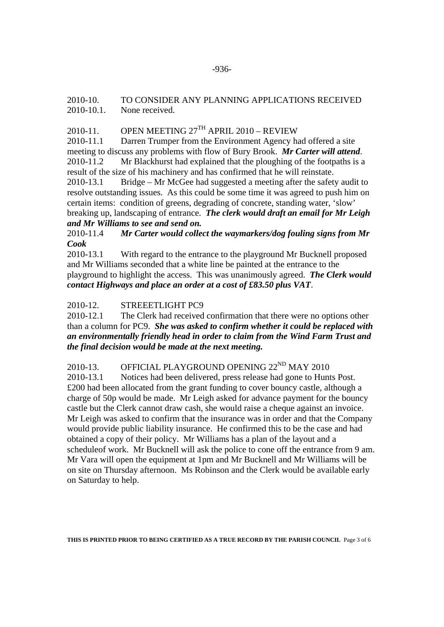# 2010-10. TO CONSIDER ANY PLANNING APPLICATIONS RECEIVED 2010-10.1. None received.

# 2010-11. OPEN MEETING  $27<sup>TH</sup>$  APRIL 2010 – REVIEW

2010-11.1 Darren Trumper from the Environment Agency had offered a site meeting to discuss any problems with flow of Bury Brook. *Mr Carter will attend*.

2010-11.2 Mr Blackhurst had explained that the ploughing of the footpaths is a result of the size of his machinery and has confirmed that he will reinstate.

2010-13.1 Bridge – Mr McGee had suggested a meeting after the safety audit to resolve outstanding issues. As this could be some time it was agreed to push him on certain items: condition of greens, degrading of concrete, standing water, 'slow' breaking up, landscaping of entrance. *The clerk would draft an email for Mr Leigh and Mr Williams to see and send on.*

# 2010-11.4 *Mr Carter would collect the waymarkers/dog fouling signs from Mr Cook*

2010-13.1 With regard to the entrance to the playground Mr Bucknell proposed and Mr Williams seconded that a white line be painted at the entrance to the playground to highlight the access. This was unanimously agreed. *The Clerk would contact Highways and place an order at a cost of £83.50 plus VAT*.

# 2010-12. STREEETLIGHT PC9

2010-12.1 The Clerk had received confirmation that there were no options other than a column for PC9. *She was asked to confirm whether it could be replaced with an environmentally friendly head in order to claim from the Wind Farm Trust and the final decision would be made at the next meeting.* 

# 2010-13. OFFICIAL PLAYGROUND OPENING  $22^{ND}$  MAY 2010

2010-13.1 Notices had been delivered, press release had gone to Hunts Post. £200 had been allocated from the grant funding to cover bouncy castle, although a charge of 50p would be made. Mr Leigh asked for advance payment for the bouncy castle but the Clerk cannot draw cash, she would raise a cheque against an invoice. Mr Leigh was asked to confirm that the insurance was in order and that the Company would provide public liability insurance. He confirmed this to be the case and had obtained a copy of their policy. Mr Williams has a plan of the layout and a scheduleof work. Mr Bucknell will ask the police to cone off the entrance from 9 am. Mr Vara will open the equipment at 1pm and Mr Bucknell and Mr Williams will be on site on Thursday afternoon. Ms Robinson and the Clerk would be available early on Saturday to help.

**THIS IS PRINTED PRIOR TO BEING CERTIFIED AS A TRUE RECORD BY THE PARISH COUNCIL** Page 3 of 6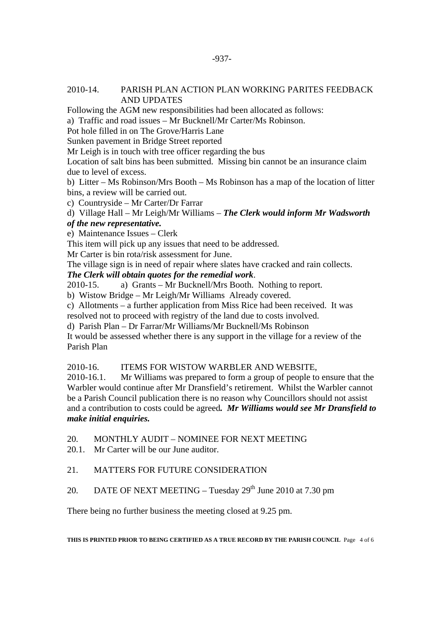#### 2010-14. PARISH PLAN ACTION PLAN WORKING PARITES FEEDBACK AND UPDATES

Following the AGM new responsibilities had been allocated as follows:

a) Traffic and road issues – Mr Bucknell/Mr Carter/Ms Robinson.

Pot hole filled in on The Grove/Harris Lane

Sunken pavement in Bridge Street reported

Mr Leigh is in touch with tree officer regarding the bus

Location of salt bins has been submitted. Missing bin cannot be an insurance claim due to level of excess.

b) Litter – Ms Robinson/Mrs Booth – Ms Robinson has a map of the location of litter bins, a review will be carried out.

c) Countryside – Mr Carter/Dr Farrar

d) Village Hall – Mr Leigh/Mr Williams – *The Clerk would inform Mr Wadsworth* 

#### *of the new representative.*

## e) Maintenance Issues – Clerk

This item will pick up any issues that need to be addressed.

Mr Carter is bin rota/risk assessment for June.

The village sign is in need of repair where slates have cracked and rain collects.

## *The Clerk will obtain quotes for the remedial work*.

2010-15. a) Grants – Mr Bucknell/Mrs Booth. Nothing to report.

b) Wistow Bridge – Mr Leigh/Mr Williams Already covered.

c) Allotments – a further application from Miss Rice had been received. It was resolved not to proceed with registry of the land due to costs involved.

d) Parish Plan – Dr Farrar/Mr Williams/Mr Bucknell/Ms Robinson

It would be assessed whether there is any support in the village for a review of the Parish Plan

2010-16. ITEMS FOR WISTOW WARBLER AND WEBSITE,

2010-16.1. Mr Williams was prepared to form a group of people to ensure that the Warbler would continue after Mr Dransfield's retirement. Whilst the Warbler cannot be a Parish Council publication there is no reason why Councillors should not assist and a contribution to costs could be agreed*. Mr Williams would see Mr Dransfield to make initial enquiries.* 

20. MONTHLY AUDIT – NOMINEE FOR NEXT MEETING

20.1. Mr Carter will be our June auditor.

#### 21. MATTERS FOR FUTURE CONSIDERATION

20. DATE OF NEXT MEETING – Tuesday  $29<sup>th</sup>$  June 2010 at 7.30 pm

There being no further business the meeting closed at 9.25 pm.

**THIS IS PRINTED PRIOR TO BEING CERTIFIED AS A TRUE RECORD BY THE PARISH COUNCIL** Page 4 of 6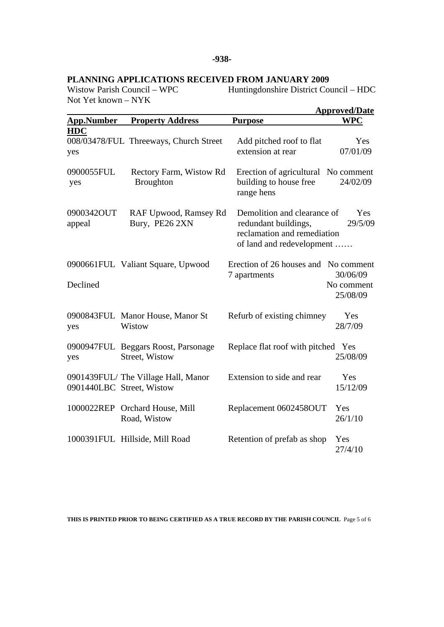# **PLANNING APPLICATIONS RECEIVED FROM JANUARY 2009**

Not Yet known – NYK

Huntingdonshire District Council – HDC

|                      |                                                                 |                                                                                                                 | <b>Approved/Date</b>               |
|----------------------|-----------------------------------------------------------------|-----------------------------------------------------------------------------------------------------------------|------------------------------------|
| <b>App.Number</b>    | <b>Property Address</b>                                         | <b>Purpose</b>                                                                                                  | <b>WPC</b>                         |
| <b>HDC</b><br>yes    | 008/03478/FUL Threeways, Church Street                          | Add pitched roof to flat<br>extension at rear                                                                   | Yes<br>07/01/09                    |
| 0900055FUL<br>yes    | Rectory Farm, Wistow Rd<br><b>Broughton</b>                     | Erection of agricultural No comment<br>building to house free<br>range hens                                     | 24/02/09                           |
| 0900342OUT<br>appeal | RAF Upwood, Ramsey Rd<br>Bury, PE26 2XN                         | Demolition and clearance of<br>redundant buildings,<br>reclamation and remediation<br>of land and redevelopment | Yes<br>29/5/09                     |
| Declined             | 0900661FUL Valiant Square, Upwood                               | Erection of 26 houses and No comment<br>7 apartments                                                            | 30/06/09<br>No comment<br>25/08/09 |
| yes                  | 0900843FUL Manor House, Manor St<br>Wistow                      | Refurb of existing chimney                                                                                      | Yes<br>28/7/09                     |
| yes                  | 0900947FUL Beggars Roost, Parsonage<br>Street, Wistow           | Replace flat roof with pitched Yes                                                                              | 25/08/09                           |
|                      | 0901439FUL/The Village Hall, Manor<br>0901440LBC Street, Wistow | Extension to side and rear                                                                                      | Yes<br>15/12/09                    |
|                      | 1000022REP Orchard House, Mill<br>Road, Wistow                  | Replacement 0602458OUT                                                                                          | Yes<br>26/1/10                     |
|                      | 1000391FUL Hillside, Mill Road                                  | Retention of prefab as shop                                                                                     | Yes<br>27/4/10                     |

**THIS IS PRINTED PRIOR TO BEING CERTIFIED AS A TRUE RECORD BY THE PARISH COUNCIL** Page 5 of 6